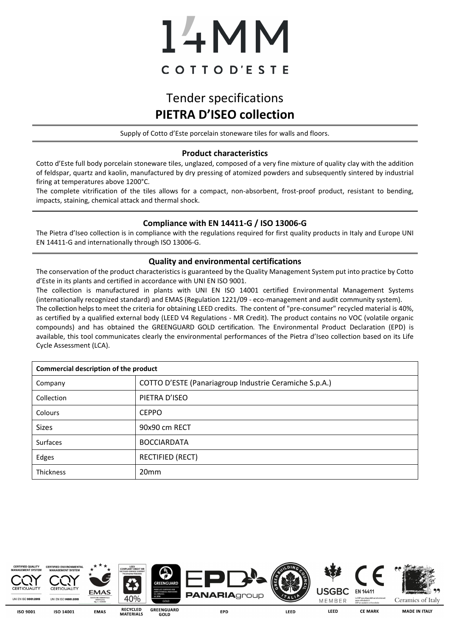# 14MM COTTOD'ESTE

## Tender specifications **PIETRA D'ISEO collection**

Supply of Cotto d'Este porcelain stoneware tiles for walls and floors.

#### **Product characteristics**

Cotto d'Este full body porcelain stoneware tiles, unglazed, composed of a very fine mixture of quality clay with the addition of feldspar, quartz and kaolin, manufactured by dry pressing of atomized powders and subsequently sintered by industrial firing at temperatures above 1200°C.

The complete vitrification of the tiles allows for a compact, non-absorbent, frost-proof product, resistant to bending, impacts, staining, chemical attack and thermal shock.

#### **Compliance with EN 14411-G / ISO 13006-G**

The Pietra d'Iseo collection is in compliance with the regulations required for first quality products in Italy and Europe UNI EN 14411-G and internationally through ISO 13006-G.

#### **Quality and environmental certifications**

The conservation of the product characteristics is guaranteed by the Quality Management System put into practice by Cotto d'Este in its plants and certified in accordance with UNI EN ISO 9001.

The collection is manufactured in plants with UNI EN ISO 14001 certified Environmental Management Systems (internationally recognized standard) and EMAS (Regulation 1221/09 - eco-management and audit community system). The collection helps to meet the criteria for obtaining LEED credits. The content of "pre-consumer" recycled material is 40%, as certified by a qualified external body (LEED V4 Regulations - MR Credit). The product contains no VOC (volatile organic compounds) and has obtained the GREENGUARD GOLD certification. The Environmental Product Declaration (EPD) is available, this tool communicates clearly the environmental performances of the Pietra d'Iseo collection based on its Life Cycle Assessment (LCA).

| <b>Commercial description of the product</b> |                                                        |  |  |  |
|----------------------------------------------|--------------------------------------------------------|--|--|--|
| Company                                      | COTTO D'ESTE (Panariagroup Industrie Ceramiche S.p.A.) |  |  |  |
| Collection                                   | PIETRA D'ISEO                                          |  |  |  |
| Colours                                      | <b>CEPPO</b>                                           |  |  |  |
| <b>Sizes</b>                                 | 90x90 cm RECT                                          |  |  |  |
| Surfaces                                     | <b>BOCCIARDATA</b>                                     |  |  |  |
| Edges                                        | <b>RECTIFIED (RECT)</b>                                |  |  |  |
| Thickness                                    | 20 <sub>mm</sub>                                       |  |  |  |